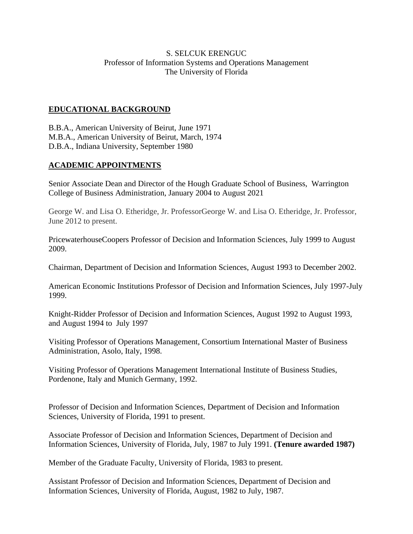## S. SELCUK ERENGUC Professor of Information Systems and Operations Management The University of Florida

# **EDUCATIONAL BACKGROUND**

B.B.A., American University of Beirut, June 1971 M.B.A., American University of Beirut, March, 1974 D.B.A., Indiana University, September 1980

## **ACADEMIC APPOINTMENTS**

Senior Associate Dean and Director of the Hough Graduate School of Business, Warrington College of Business Administration, January 2004 to August 2021

George W. and Lisa O. Etheridge, Jr. ProfessorGeorge W. and Lisa O. Etheridge, Jr. Professor, June 2012 to present.

PricewaterhouseCoopers Professor of Decision and Information Sciences, July 1999 to August 2009.

Chairman, Department of Decision and Information Sciences, August 1993 to December 2002.

American Economic Institutions Professor of Decision and Information Sciences, July 1997-July 1999.

Knight-Ridder Professor of Decision and Information Sciences, August 1992 to August 1993, and August 1994 to July 1997

Visiting Professor of Operations Management, Consortium International Master of Business Administration, Asolo, Italy, 1998.

Visiting Professor of Operations Management International Institute of Business Studies, Pordenone, Italy and Munich Germany, 1992.

Professor of Decision and Information Sciences, Department of Decision and Information Sciences, University of Florida, 1991 to present.

Associate Professor of Decision and Information Sciences, Department of Decision and Information Sciences, University of Florida, July, 1987 to July 1991. **(Tenure awarded 1987)**

Member of the Graduate Faculty, University of Florida, 1983 to present.

Assistant Professor of Decision and Information Sciences, Department of Decision and Information Sciences, University of Florida, August, 1982 to July, 1987.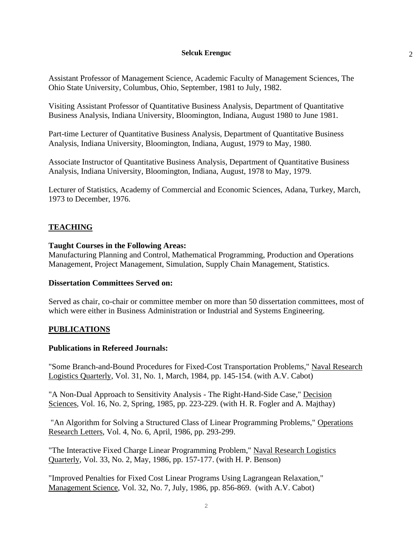Assistant Professor of Management Science, Academic Faculty of Management Sciences, The Ohio State University, Columbus, Ohio, September, 1981 to July, 1982.

Visiting Assistant Professor of Quantitative Business Analysis, Department of Quantitative Business Analysis, Indiana University, Bloomington, Indiana, August 1980 to June 1981.

Part-time Lecturer of Quantitative Business Analysis, Department of Quantitative Business Analysis, Indiana University, Bloomington, Indiana, August, 1979 to May, 1980.

Associate Instructor of Quantitative Business Analysis, Department of Quantitative Business Analysis, Indiana University, Bloomington, Indiana, August, 1978 to May, 1979.

Lecturer of Statistics, Academy of Commercial and Economic Sciences, Adana, Turkey, March, 1973 to December, 1976.

# **TEACHING**

### **Taught Courses in the Following Areas:**

Manufacturing Planning and Control, Mathematical Programming, Production and Operations Management, Project Management, Simulation, Supply Chain Management, Statistics.

### **Dissertation Committees Served on:**

Served as chair, co-chair or committee member on more than 50 dissertation committees, most of which were either in Business Administration or Industrial and Systems Engineering.

## **PUBLICATIONS**

### **Publications in Refereed Journals:**

"Some Branch-and-Bound Procedures for Fixed-Cost Transportation Problems," Naval Research Logistics Quarterly, Vol. 31, No. 1, March, 1984, pp. 145-154. (with A.V. Cabot)

"A Non-Dual Approach to Sensitivity Analysis - The Right-Hand-Side Case," Decision Sciences, Vol. 16, No. 2, Spring, 1985, pp. 223-229. (with H. R. Fogler and A. Majthay)

"An Algorithm for Solving a Structured Class of Linear Programming Problems," Operations Research Letters, Vol. 4, No. 6, April, 1986, pp. 293-299.

"The Interactive Fixed Charge Linear Programming Problem," Naval Research Logistics Quarterly, Vol. 33, No. 2, May, 1986, pp. 157-177. (with H. P. Benson)

"Improved Penalties for Fixed Cost Linear Programs Using Lagrangean Relaxation," Management Science, Vol. 32, No. 7, July, 1986, pp. 856-869. (with A.V. Cabot)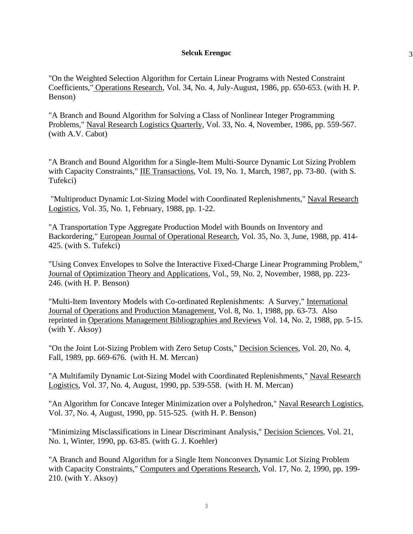3

"On the Weighted Selection Algorithm for Certain Linear Programs with Nested Constraint Coefficients," Operations Research, Vol. 34, No. 4, July-August, 1986, pp. 650-653. (with H. P. Benson)

"A Branch and Bound Algorithm for Solving a Class of Nonlinear Integer Programming Problems," Naval Research Logistics Quarterly, Vol. 33, No. 4, November, 1986, pp. 559-567. (with A.V. Cabot)

"A Branch and Bound Algorithm for a Single-Item Multi-Source Dynamic Lot Sizing Problem with Capacity Constraints," IIE Transactions, Vol. 19, No. 1, March, 1987, pp. 73-80. (with S. Tufekci)

"Multiproduct Dynamic Lot-Sizing Model with Coordinated Replenishments," Naval Research Logistics, Vol. 35, No. 1, February, 1988, pp. 1-22.

"A Transportation Type Aggregate Production Model with Bounds on Inventory and Backordering," European Journal of Operational Research, Vol. 35, No. 3, June, 1988, pp. 414- 425. (with S. Tufekci)

"Using Convex Envelopes to Solve the Interactive Fixed-Charge Linear Programming Problem," Journal of Optimization Theory and Applications, Vol., 59, No. 2, November, 1988, pp. 223- 246. (with H. P. Benson)

"Multi-Item Inventory Models with Co-ordinated Replenishments: A Survey," International Journal of Operations and Production Management, Vol. 8, No. 1, 1988, pp. 63-73. Also reprinted in Operations Management Bibliographies and Reviews Vol. 14, No. 2, 1988, pp. 5-15. (with Y. Aksoy)

"On the Joint Lot-Sizing Problem with Zero Setup Costs," Decision Sciences, Vol. 20, No. 4, Fall, 1989, pp. 669-676. (with H. M. Mercan)

"A Multifamily Dynamic Lot-Sizing Model with Coordinated Replenishments," Naval Research Logistics, Vol. 37, No. 4, August, 1990, pp. 539-558. (with H. M. Mercan)

"An Algorithm for Concave Integer Minimization over a Polyhedron," Naval Research Logistics, Vol. 37, No. 4, August, 1990, pp. 515-525. (with H. P. Benson)

"Minimizing Misclassifications in Linear Discriminant Analysis," Decision Sciences, Vol. 21, No. 1, Winter, 1990, pp. 63-85. (with G. J. Koehler)

"A Branch and Bound Algorithm for a Single Item Nonconvex Dynamic Lot Sizing Problem with Capacity Constraints," Computers and Operations Research, Vol. 17, No. 2, 1990, pp. 199- 210. (with Y. Aksoy)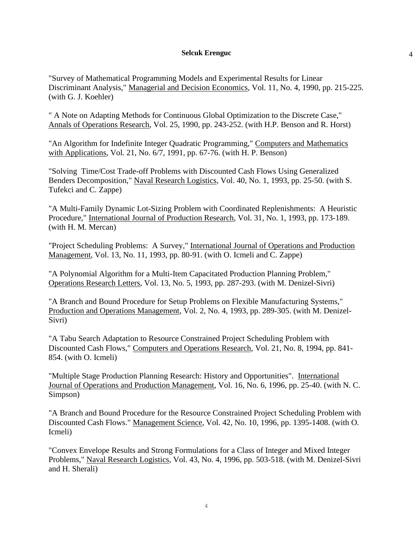"Survey of Mathematical Programming Models and Experimental Results for Linear Discriminant Analysis," Managerial and Decision Economics, Vol. 11, No. 4, 1990, pp. 215-225. (with G. J. Koehler)

" A Note on Adapting Methods for Continuous Global Optimization to the Discrete Case," Annals of Operations Research, Vol. 25, 1990, pp. 243-252. (with H.P. Benson and R. Horst)

"An Algorithm for Indefinite Integer Quadratic Programming," Computers and Mathematics with Applications, Vol. 21, No. 6/7, 1991, pp. 67-76. (with H. P. Benson)

"Solving Time/Cost Trade-off Problems with Discounted Cash Flows Using Generalized Benders Decomposition," Naval Research Logistics, Vol. 40, No. 1, 1993, pp. 25-50. (with S. Tufekci and C. Zappe)

"A Multi-Family Dynamic Lot-Sizing Problem with Coordinated Replenishments: A Heuristic Procedure," International Journal of Production Research, Vol. 31, No. 1, 1993, pp. 173-189. (with H. M. Mercan)

"Project Scheduling Problems: A Survey," International Journal of Operations and Production Management, Vol. 13, No. 11, 1993, pp. 80-91. (with O. Icmeli and C. Zappe)

"A Polynomial Algorithm for a Multi-Item Capacitated Production Planning Problem," Operations Research Letters, Vol. 13, No. 5, 1993, pp. 287-293. (with M. Denizel-Sivri)

"A Branch and Bound Procedure for Setup Problems on Flexible Manufacturing Systems," Production and Operations Management, Vol. 2, No. 4, 1993, pp. 289-305. (with M. Denizel-Sivri)

"A Tabu Search Adaptation to Resource Constrained Project Scheduling Problem with Discounted Cash Flows," Computers and Operations Research, Vol. 21, No. 8, 1994, pp. 841- 854. (with O. Icmeli)

"Multiple Stage Production Planning Research: History and Opportunities". International Journal of Operations and Production Management, Vol. 16, No. 6, 1996, pp. 25-40. (with N. C. Simpson)

"A Branch and Bound Procedure for the Resource Constrained Project Scheduling Problem with Discounted Cash Flows." Management Science, Vol. 42, No. 10, 1996, pp. 1395-1408. (with O. Icmeli)

"Convex Envelope Results and Strong Formulations for a Class of Integer and Mixed Integer Problems," Naval Research Logistics, Vol. 43, No. 4, 1996, pp. 503-518. (with M. Denizel-Sivri and H. Sherali)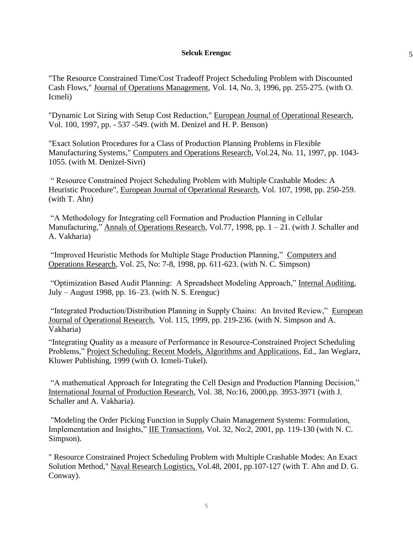5

"The Resource Constrained Time/Cost Tradeoff Project Scheduling Problem with Discounted Cash Flows," Journal of Operations Management, Vol. 14, No. 3, 1996, pp. 255-275. (with O. Icmeli)

"Dynamic Lot Sizing with Setup Cost Reduction," European Journal of Operational Research, Vol. 100, 1997, pp. - 537 -549. (with M. Denizel and H. P. Benson)

"Exact Solution Procedures for a Class of Production Planning Problems in Flexible Manufacturing Systems," Computers and Operations Research, Vol.24, No. 11, 1997, pp. 1043- 1055. (with M. Denizel-Sivri)

" Resource Constrained Project Scheduling Problem with Multiple Crashable Modes: A Heuristic Procedure", European Journal of Operational Research, Vol. 107, 1998, pp. 250-259. (with T. Ahn)

"A Methodology for Integrating cell Formation and Production Planning in Cellular Manufacturing," Annals of Operations Research, Vol.77, 1998, pp. 1 – 21. (with J. Schaller and A. Vakharia)

"Improved Heuristic Methods for Multiple Stage Production Planning," Computers and Operations Research, Vol. 25, No: 7-8, 1998, pp. 611-623. (with N. C. Simpson)

"Optimization Based Audit Planning: A Spreadsheet Modeling Approach," Internal Auditing, July – August 1998, pp. 16–23. (with N. S. Erenguc)

"Integrated Production/Distribution Planning in Supply Chains: An Invited Review," European Journal of Operational Research, Vol. 115, 1999, pp. 219-236. (with N. Simpson and A. Vakharia)

"Integrating Quality as a measure of Performance in Resource-Constrained Project Scheduling Problems," Project Scheduling: Recent Models, Algorithms and Applications, Ed., Jan Weglarz, Kluwer Publishing, 1999 (with O. Icmeli-Tukel).

"A mathematical Approach for Integrating the Cell Design and Production Planning Decision," International Journal of Production Research, Vol. 38, No:16, 2000,pp. 3953-3971 (with J. Schaller and A. Vakharia).

"Modeling the Order Picking Function in Supply Chain Management Systems: Formulation, Implementation and Insights," IIE Transactions, Vol. 32, No:2, 2001, pp. 119-130 (with N. C. Simpson).

" Resource Constrained Project Scheduling Problem with Multiple Crashable Modes: An Exact Solution Method," Naval Research Logistics, Vol.48, 2001, pp.107-127 (with T. Ahn and D. G. Conway).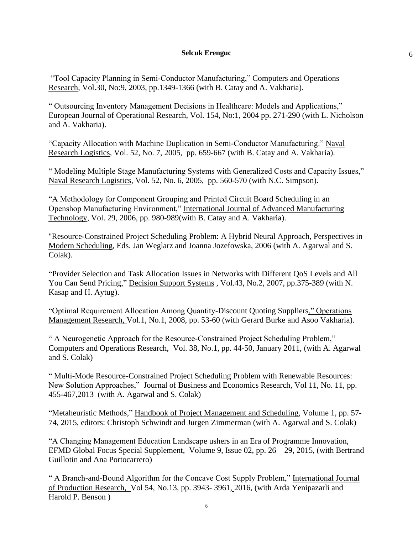6

"Tool Capacity Planning in Semi-Conductor Manufacturing," Computers and Operations Research, Vol.30, No:9, 2003, pp.1349-1366 (with B. Catay and A. Vakharia).

" Outsourcing Inventory Management Decisions in Healthcare: Models and Applications," European Journal of Operational Research, Vol. 154, No:1, 2004 pp. 271-290 (with L. Nicholson and A. Vakharia).

"Capacity Allocation with Machine Duplication in Semi-Conductor Manufacturing." Naval Research Logistics, Vol. 52, No. 7, 2005, pp. 659-667 (with B. Catay and A. Vakharia).

" Modeling Multiple Stage Manufacturing Systems with Generalized Costs and Capacity Issues," Naval Research Logistics, Vol. 52, No. 6, 2005, pp. 560-570 (with N.C. Simpson).

"A Methodology for Component Grouping and Printed Circuit Board Scheduling in an Openshop Manufacturing Environment," International Journal of Advanced Manufacturing Technology, Vol. 29, 2006, pp. 980-989(with B. Catay and A. Vakharia).

"Resource-Constrained Project Scheduling Problem: A Hybrid Neural Approach, Perspectives in Modern Scheduling, Eds. Jan Weglarz and Joanna Jozefowska, 2006 (with A. Agarwal and S. Colak).

"Provider Selection and Task Allocation Issues in Networks with Different QoS Levels and All You Can Send Pricing," Decision Support Systems , Vol.43, No.2, 2007, pp.375-389 (with N. Kasap and H. Aytug).

"Optimal Requirement Allocation Among Quantity-Discount Quoting Suppliers," Operations Management Research, Vol.1, No.1, 2008, pp. 53-60 (with Gerard Burke and Asoo Vakharia).

" A Neurogenetic Approach for the Resource-Constrained Project Scheduling Problem," Computers and Operations Research, Vol. 38, No.1, pp. 44-50, January 2011, (with A. Agarwal and S. Colak)

" Multi-Mode Resource-Constrained Project Scheduling Problem with Renewable Resources: New Solution Approaches," Journal of Business and Economics Research, Vol 11, No. 11, pp. 455-467,2013 (with A. Agarwal and S. Colak)

"Metaheuristic Methods," Handbook of Project Management and Scheduling, Volume 1, pp. 57- 74, 2015, editors: Christoph Schwindt and Jurgen Zimmerman (with A. Agarwal and S. Colak)

"A Changing Management Education Landscape ushers in an Era of Programme Innovation, EFMD Global Focus Special Supplement, Volume 9, Issue 02, pp. 26 – 29, 2015, (with Bertrand Guillotin and Ana Portocarrero)

" A Branch-and-Bound Algorithm for the Concave Cost Supply Problem," International Journal of Production Research, Vol 54, No.13, pp. 3943- 3961, 2016, (with Arda Yenipazarli and Harold P. Benson )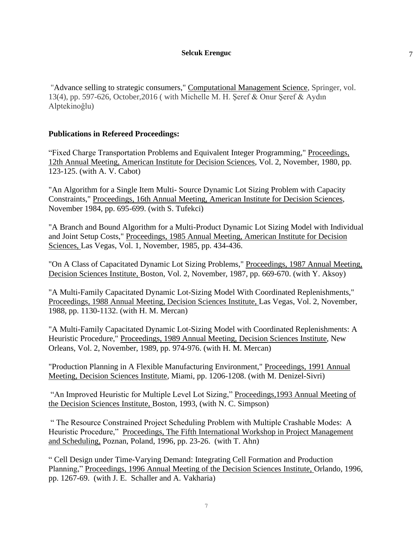7

["Advance selling to strategic consumers,](https://ideas.repec.org/a/spr/comgts/v13y2016i4d10.1007_s10287-016-0264-3.html)" [Computational Management Science,](https://ideas.repec.org/s/spr/comgts.html) Springer, vol. 13(4), pp. 597-626, October,2016 ( with Michelle M. H. Şeref & Onur Şeref & Aydın Alptekinoğlu)

## **Publications in Refereed Proceedings:**

"Fixed Charge Transportation Problems and Equivalent Integer Programming," Proceedings, 12th Annual Meeting, American Institute for Decision Sciences, Vol. 2, November, 1980, pp. 123-125. (with A. V. Cabot)

"An Algorithm for a Single Item Multi- Source Dynamic Lot Sizing Problem with Capacity Constraints," Proceedings, 16th Annual Meeting, American Institute for Decision Sciences, November 1984, pp. 695-699. (with S. Tufekci)

"A Branch and Bound Algorithm for a Multi-Product Dynamic Lot Sizing Model with Individual and Joint Setup Costs," Proceedings, 1985 Annual Meeting, American Institute for Decision Sciences, Las Vegas, Vol. 1, November, 1985, pp. 434-436.

"On A Class of Capacitated Dynamic Lot Sizing Problems," Proceedings, 1987 Annual Meeting, Decision Sciences Institute, Boston, Vol. 2, November, 1987, pp. 669-670. (with Y. Aksoy)

"A Multi-Family Capacitated Dynamic Lot-Sizing Model With Coordinated Replenishments," Proceedings, 1988 Annual Meeting, Decision Sciences Institute, Las Vegas, Vol. 2, November, 1988, pp. 1130-1132. (with H. M. Mercan)

"A Multi-Family Capacitated Dynamic Lot-Sizing Model with Coordinated Replenishments: A Heuristic Procedure," Proceedings, 1989 Annual Meeting, Decision Sciences Institute, New Orleans, Vol. 2, November, 1989, pp. 974-976. (with H. M. Mercan)

"Production Planning in A Flexible Manufacturing Environment," Proceedings, 1991 Annual Meeting, Decision Sciences Institute, Miami, pp. 1206-1208. (with M. Denizel-Sivri)

"An Improved Heuristic for Multiple Level Lot Sizing," Proceedings,1993 Annual Meeting of the Decision Sciences Institute, Boston, 1993, (with N. C. Simpson)

" The Resource Constrained Project Scheduling Problem with Multiple Crashable Modes: A Heuristic Procedure," Proceedings, The Fifth International Workshop in Project Management and Scheduling, Poznan, Poland, 1996, pp. 23-26. (with T. Ahn)

" Cell Design under Time-Varying Demand: Integrating Cell Formation and Production Planning," Proceedings, 1996 Annual Meeting of the Decision Sciences Institute, Orlando, 1996, pp. 1267-69. (with J. E. Schaller and A. Vakharia)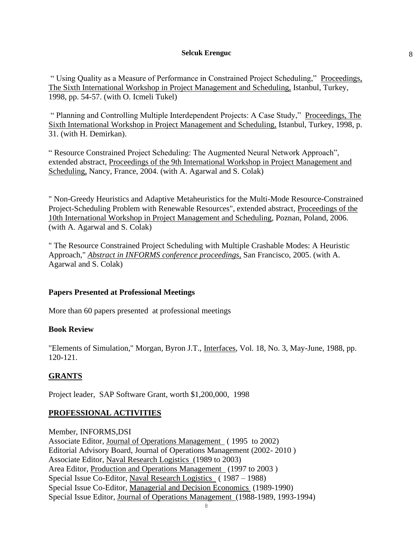8

" Using Quality as a Measure of Performance in Constrained Project Scheduling," Proceedings, The Sixth International Workshop in Project Management and Scheduling, Istanbul, Turkey, 1998, pp. 54-57. (with O. Icmeli Tukel)

" Planning and Controlling Multiple Interdependent Projects: A Case Study," Proceedings, The Sixth International Workshop in Project Management and Scheduling, Istanbul, Turkey, 1998, p. 31. (with H. Demirkan).

" Resource Constrained Project Scheduling: The Augmented Neural Network Approach", extended abstract, Proceedings of the 9th International Workshop in Project Management and Scheduling, Nancy, France, 2004. (with A. Agarwal and S. Colak)

" Non-Greedy Heuristics and Adaptive Metaheuristics for the Multi-Mode Resource-Constrained Project-Scheduling Problem with Renewable Resources", extended abstract, Proceedings of the 10th International Workshop in Project Management and Scheduling, Poznan, Poland, 2006. (with A. Agarwal and S. Colak)

" The Resource Constrained Project Scheduling with Multiple Crashable Modes: A Heuristic Approach," *Abstract in INFORMS conference proceedings,* San Francisco, 2005. (with A. Agarwal and S. Colak)

## **Papers Presented at Professional Meetings**

More than 60 papers presented at professional meetings

## **Book Review**

"Elements of Simulation," Morgan, Byron J.T., Interfaces, Vol. 18, No. 3, May-June, 1988, pp. 120-121.

# **GRANTS**

Project leader, SAP Software Grant, worth \$1,200,000, 1998

## **PROFESSIONAL ACTIVITIES**

Member, INFORMS,DSI Associate Editor, Journal of Operations Management ( 1995 to 2002) Editorial Advisory Board, Journal of Operations Management (2002- 2010 ) Associate Editor, Naval Research Logistics (1989 to 2003) Area Editor, Production and Operations Management (1997 to 2003 ) Special Issue Co-Editor, Naval Research Logistics ( 1987 – 1988) Special Issue Co-Editor, Managerial and Decision Economics (1989-1990) Special Issue Editor, Journal of Operations Management (1988-1989, 1993-1994)